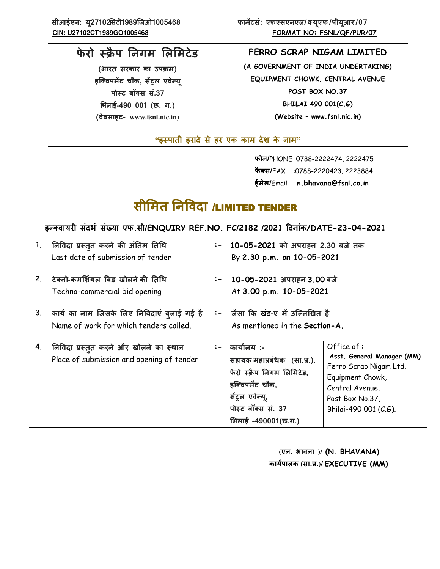# फेरो स्क्रैप निगम लिमिटेड

(भारत सरकार का उपक्रम) इक्विपमेंट चौक, सेंट्रल एवेन्य् पोस्ट बॉक्स सं.37 भलाई**-**490 001 (छ. ग.) (वेबसाइट- **www.fsnl.nic.in)** 

 **CIN: U27102CT1989GO1005468** FORMAT NO: FSNL/QF/PUR/07

## FERRO SCRAP NIGAM LIMITED

(A GOVERNMENT OF INDIA UNDERTAKING) EQUIPMENT CHOWK, CENTRAL AVENUE POST BOX NO.37 BHILAI 490 001(C.G) (Website – www.fsnl.nic.in)

**"**इ&पाती इरादे से हर एक काम देश के नाम**"**

फोन/PHONE :0788-2222474, 2222475 फैक्स/FAX :0788-2220423, 2223884 ईमेल/Email : n.bhavana@fsnl.co.in

# <u>मित निविदा /Limited tender</u>

## इन्क्वायरी संदर्भ संख्या एफ.सी/ENQUIRY REF.NO. FC/2182 /2021 दिनांक/DATE-23-04-2021

| 1. | निविदा प्रस्तुत करने की अंतिम तिथि<br>Last date of submission of tender               | $:-$ | 10-05-2021 को अपराहन 2.30 बजे तक<br>By 2.30 p.m. on 10-05-2021                                                                                                 |                                                                                                                                                         |
|----|---------------------------------------------------------------------------------------|------|----------------------------------------------------------------------------------------------------------------------------------------------------------------|---------------------------------------------------------------------------------------------------------------------------------------------------------|
| 2. | टेक्नो-कमर्शियल बिड खोलने की तिथि<br>Techno-commercial bid opening                    | $:-$ | 10-05-2021 अपराहन 3.00 बजे<br>At 3.00 p.m. 10-05-2021                                                                                                          |                                                                                                                                                         |
| 3. | कार्य का नाम जिसके लिए निविदाएं ब्लाई गई है<br>Name of work for which tenders called. |      | :-   जैसा कि खंड-ए में उल्लिखित है<br>As mentioned in the Section-A.                                                                                           |                                                                                                                                                         |
| 4. | निविदा प्रस्तुत करने और खोलने का स्थान<br>Place of submission and opening of tender   | $:-$ | कार्यालय :-<br>सहायक महाप्रबंधक (सा.प्र.),<br>फेरो स्क्रैप निगम लिमिटेड,<br>इक्विपमेंट चौक,<br>सेंट्रल एवेन्यू,<br>पोस्ट बॉक्स सं. 37<br>क्षिलाई -490001(छ.ग.) | Office of :-<br>Asst. General Manager (MM)<br>Ferro Scrap Nigam Ltd.<br>Equipment Chowk,<br>Central Avenue,<br>Post Box No.37,<br>Bhilai-490 001 (C.G). |

 **(**एन. भावना **)/** (N. BHAVANA)  $\overline{a}$  *an***<sup>4</sup>** *and*  $\overline{a}$  (*RII.9.) EXECUTIVE (MM)*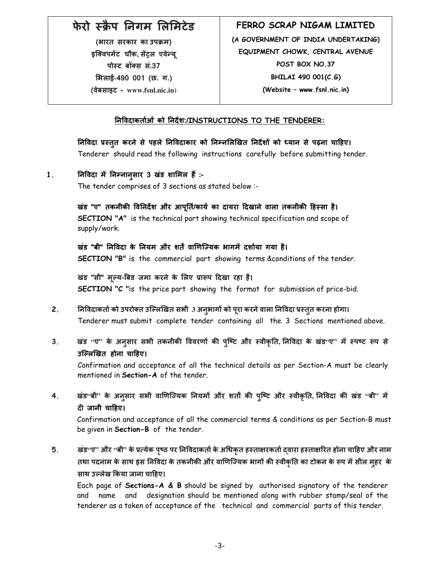# फेरो स्क्रैप निगम लिमिटेड

(भारत सरकार का उपक्रम) इक्विपमेंट चौक, सेंट्रल एवेन्यू पोस्ट बॉक्स सं.37 भलाई**-**490 001 (छ. ग.) (वेबसाइट - **www.fsnl.nic.in)**

## FERRO SCRAP NIGAM LIMITED

(A GOVERNMENT OF INDIA UNDERTAKING) EQUIPMENT CHOWK, CENTRAL AVENUE POST BOX NO.37 BHILAI 490 001(C.G) (Website – www.fsnl.nic.in)

### निविदाकर्ताओं को निर्देश:/INSTRUCTIONS TO THE TENDERER:

### निविदा प्रस्तुत करने से पहले निविदाकार को निम्नलिखित निर्देशों को ध्यान से पढ़ना चाहिए।

Tenderer should read the following instructions carefully before submitting tender.

## 1. निविदा में निम्नानुसार 3 खंड शामिल हैं :-

The tender comprises of 3 sections as stated below :-

# खंड "ए" तकनीकी विनिर्देश और आपूर्ति/कार्य का दायरा दिखाने वाला तकनीकी हिस्सा है।

SECTION "A" is the technical part showing technical specification and scope of supply/work.

## खंड "बी" निविदा के नियम और शर्तें वाणिज्यिक भागमें दर्शाया गया है। SECTION "B" is the commercial part showing terms &conditions of the tender.

खंड "सी" मूल्य-बिड जमा करने के लिए प्रारूप दिखा रहा है। SECTION "C "is the price part showing the format for submission of price-bid.

## 2. निविदाकर्ता को उपरोक्त उल्लिखित सभी 3 अनुभागों को पुरा करने वाला निविदा प्रस्तुत करना होगा। Tenderer must submit complete tender containing all the 3 Sections mentioned above.

## 3. खंड "ए" के अनुसार सभी तकनीकी विवरणों की पुष्टि और स्वीकृति, निविदा के खंड"ए" में स्पष्ट रूप से उल्लिखित होना चाहिए।

Confirmation and acceptance of all the technical details as per Section-A must be clearly mentioned in Section-A of the tender.

## 4. खंड बी' के अनुसार सभी वाणिज्यिक नियमों और शर्तों की पुष्टि और स्वीकृति, निविदा की खंड ''बी'' में दी जानी चाहिए।

Confirmation and acceptance of all the commercial terms & conditions as per Section-B must be given in Section-B of the tender.

# 5. खंड"ए" और "बी" के प्रत्येक पृष्ठ पर निविदाकर्ता के अधिकृत हस्ताक्षरकर्ता द्**वारा हस्ताक्षरित होना चाहिए और नाम** तथा पदनाम के साथ इस निविदा के तकनीकी और वाणिज्यिक भागों की स्वीकृति का टोकन के रूप में सील मुहर के साथ उल्लेख किया जाना चाहिए।

Each page of Sections-A & B should be signed by authorised signatory of the tenderer and name and designation should be mentioned along with rubber stamp/seal of the tenderer as a token of acceptance of the technical and commercial parts of this tender.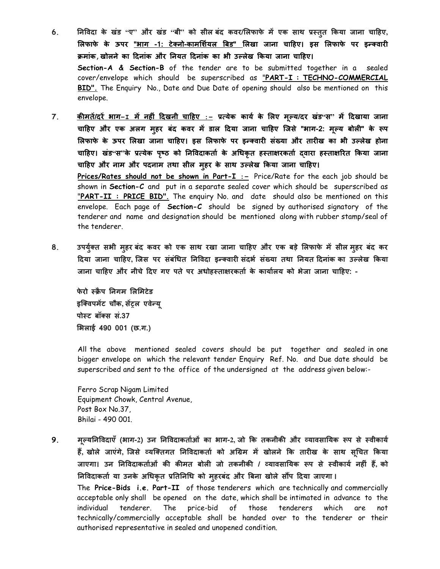- 6. जिविदा के खंड "ए" और खंड "बी" को सील बंद कवर/लिफाफे में एक साथ प्रस्तुत किया जाना चाहिए, लिफाफे के ऊपर <u>"भाग -1: टेक्नो-कामर्शियल बिड" </u>लिखा जाना चाहिए। इस लिफाफे पर इन्क्वारी 'मांक**,**खोलने का Eदनांक और )नयत Eदनांक का भी उPलेख Oकया जाना चाEहए। Section-A & Section-B of the tender are to be submitted together in a sealed cover/envelope which should be superscribed as "PART-I: TECHNO-COMMERCIAL BID". The Enquiry No., Date and Due Date of opening should also be mentioned on this envelope.
- 7. <u>कीमतें/दरें भाग-1 में नहीं दिखनी चाहिए :-</u> प्रत्येक कार्य के लिए मूल्य/दर खंड"स" में दिखाया जाना चाहिए और एक अलग मुहर बंद कवर में डाल दिया जाना चाहिए जिसे "भाग-2: मूल्य बोली" के रूप लिफाफे के ऊपर लिखा जाना चाहिए। इस लिफाफे पर इन्क्वारी संख्या और तारीख का भी उल्लेख होना चाहिए। खंड<sup>,</sup> स' के प्रत्येक पृष्ठ को निविदाकर्ता के अधिकृत हस्ताक्षरकर्ता दवारा हस्ताक्षरित किया जाना चाहिए और नाम और पदनाम तथा सील मुहर के साथ उल्लेख किया जाना चाहिए। Prices/Rates should not be shown in Part-I **:-** Price/Rate for the each job should be shown in Section-C and put in a separate sealed cover which should be superscribed as "PART-II : PRICE BID". The enquiry No. and date should also be mentioned on this envelope. Each page of Section- $C$  should be signed by authorised signatory of the tenderer and name and designation should be mentioned along with rubber stamp/seal of the tenderer.
- 8. उपर्युक्त सभी मुहर बंद कवर को एक साथ रखा जाना चाहिए और एक बड़े लिफाफे में सील मुहर बंद कर दिया जाना चाहिए, जिस पर संबंधित निविदा इन्क्वारी संदर्भ संख्या तथा नियत दिनांक का उल्लेख किया जाना चाहिए और नीचे दिए गए पते पर अधोहस्ताक्षरकर्ता के कार्यालय को भेजा जाना चाहिए: -

फेरो स्क्रैप निगम लिमिटेड इक्विपमेंट चौक, सेंट्*ल एवेन्य* पो&ट बॉ!स सं**.**37 भलाई 490 001 (छ.ग.)

All the above mentioned sealed covers should be put together and sealed in one bigger envelope on which the relevant tender Enquiry Ref. No. and Due date should be superscribed and sent to the office of the undersigned at the address given below:-

 Ferro Scrap Nigam Limited Equipment Chowk, Central Avenue, Post Box No.37, Bhilai - 490 001.

9. मल्यनिविदाएँ (भाग-2) उन निविदाकर्ताओं का भाग-2, जो कि तकनीकी और व्यावसायिक रूप से स्वीकार्य हैं, खोले जाएंगे, जिसे व्यक्तिगत निविदाकर्ता को अग्रिम में खोलने कि तारीख के साथ सृचित किया जाएगा। उन निविदाकर्ताओं की कीमत बोली जो तकनीकी / व्यावसायिक रूप से स्वीकार्य नहीं हैं, को निविदाकर्ता या उनके अधिकृत प्रतिनिधि को मुहरबंद और बिना खोले सौंप दिया जाएगा ।

The Price-Bids i.e. Part-II of those tenderers which are technically and commercially acceptable only shall be opened on the date, which shall be intimated in advance to the individual tenderer. The price-bid of those tenderers which are not technically/commercially acceptable shall be handed over to the tenderer or their authorised representative in sealed and unopened condition.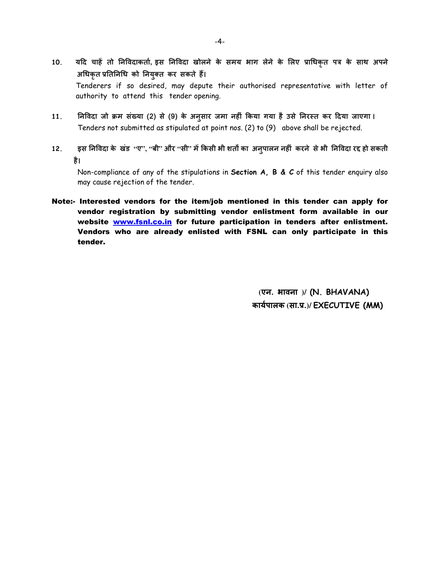- 10. यदि चाहें तो निविदाकर्ता, इस निविदा खोलने के समय भाग लेने के लिए प्राधिकृत पत्र के साथ अपने अधिकृत प्रतिनिधि को नियुक्त कर सकते हैं। Tenderers if so desired, may depute their authorised representative with letter of authority to attend this tender opening.
- 11. निविदा जो क्रम संख्या (2) से (9) के अनुसार जमा नहीं किया गया है उसे निरस्त कर दिया जाएगा। Tenders not submitted as stipulated at point nos. (2) to (9) above shall be rejected.
- 12. इस निविदा के खंड "ए", "बी" और "सी" में किसी भी शर्तों का अनुपालन नहीं करने से भी निविदा रद्द हो सकती है।

Non-compliance of any of the stipulations in Section A, B & C of this tender enquiry also may cause rejection of the tender.

Note:- Interested vendors for the item/job mentioned in this tender can apply for vendor registration by submitting vendor enlistment form available in our website www.fsnl.co.in for future participation in tenders after enlistment. Vendors who are already enlisted with FSNL can only participate in this tender.

> **(**एन. भावना **)/** (N. BHAVANA) कायCपालक **(**सा.F.**)/** EXECUTIVE (MM)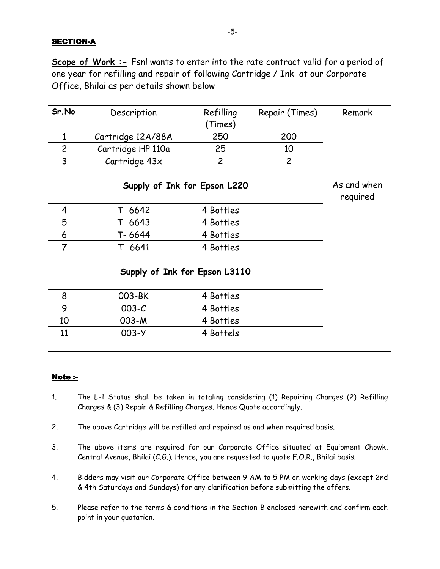## **SECTION-A**

Scope of Work :- Fsnl wants to enter into the rate contract valid for a period of one year for refilling and repair of following Cartridge / Ink at our Corporate Office, Bhilai as per details shown below

| Sr.No          | Description                   | Refilling<br>(Times) | Repair (Times) | Remark                  |
|----------------|-------------------------------|----------------------|----------------|-------------------------|
| $\mathbf{1}$   | Cartridge 12A/88A             | 250                  | 200            |                         |
| $\overline{c}$ | Cartridge HP 110a             | 25                   | 10             |                         |
| 3              | Cartridge 43x                 | $\overline{2}$       | $\overline{c}$ |                         |
|                | Supply of Ink for Epson L220  |                      |                | As and when<br>required |
| 4              | T-6642                        | 4 Bottles            |                |                         |
| 5              | T-6643                        | 4 Bottles            |                |                         |
| 6              | T-6644                        | 4 Bottles            |                |                         |
| $\overline{7}$ | T-6641                        | 4 Bottles            |                |                         |
|                | Supply of Ink for Epson L3110 |                      |                |                         |
| 8              | 003-BK                        | 4 Bottles            |                |                         |
| 9              | $003-C$                       | 4 Bottles            |                |                         |
| 10             | $003 - M$                     | 4 Bottles            |                |                         |
| 11             | $003-Y$                       | 4 Bottels            |                |                         |
|                |                               |                      |                |                         |

### Note :-

- 1. The L-1 Status shall be taken in totaling considering (1) Repairing Charges (2) Refilling Charges & (3) Repair & Refilling Charges. Hence Quote accordingly.
- 2. The above Cartridge will be refilled and repaired as and when required basis.
- 3. The above items are required for our Corporate Office situated at Equipment Chowk, Central Avenue, Bhilai (C.G.). Hence, you are requested to quote F.O.R., Bhilai basis.
- 4. Bidders may visit our Corporate Office between 9 AM to 5 PM on working days (except 2nd & 4th Saturdays and Sundays) for any clarification before submitting the offers.
- 5. Please refer to the terms & conditions in the Section-B enclosed herewith and confirm each point in your quotation.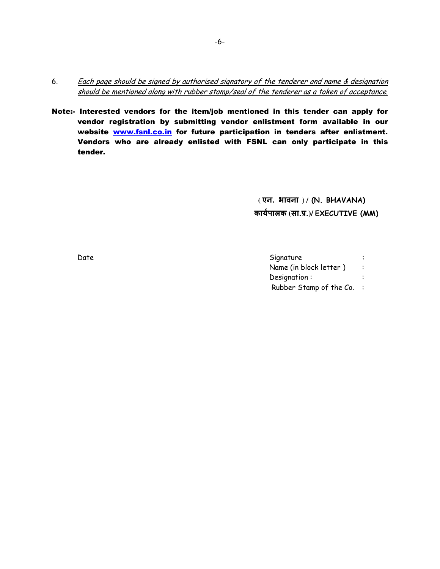- 6. *Each page should be signed by authorised signatory of the tenderer and name & designation* should be mentioned along with rubber stamp/seal of the tenderer as a token of acceptance.
- Note:- Interested vendors for the item/job mentioned in this tender can apply for vendor registration by submitting vendor enlistment form available in our website www.fsnl.co.in for future participation in tenders after enlistment. Vendors who are already enlisted with FSNL can only participate in this tender.

 **(** एन. भावना **) /** (N. BHAVANA) कायCपालक **(**सा.F.**)/** EXECUTIVE (MM)

Date Signature : Signature : Signature : Signature : Signature : Signature : Signature : Signature : Signature : Signature : Signature : Signature : Signature : Signature : Signature : Signature : Signature : Signature : S Name (in block letter) : Designation :  $\qquad \qquad :$ Rubber Stamp of the Co. :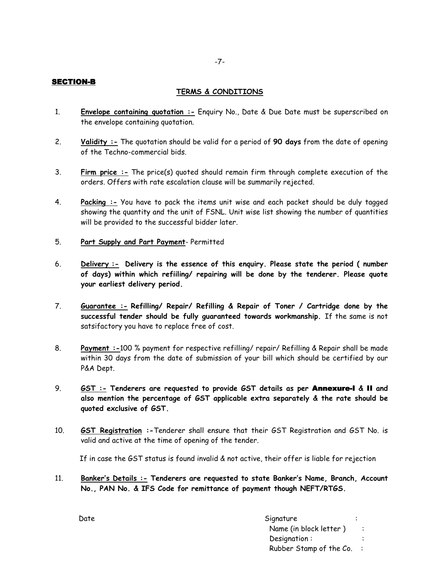#### **SECTION-B**

#### TERMS & CONDITIONS

- 1. Envelope containing quotation :- Enquiry No., Date & Due Date must be superscribed on the envelope containing quotation.
- 2. Validity :- The quotation should be valid for a period of 90 days from the date of opening of the Techno-commercial bids.
- 3. Firm price :- The price(s) quoted should remain firm through complete execution of the orders. Offers with rate escalation clause will be summarily rejected.
- 4. Packing :- You have to pack the items unit wise and each packet should be duly tagged showing the quantity and the unit of FSNL. Unit wise list showing the number of quantities will be provided to the successful bidder later.
- 5. Part Supply and Part Payment- Permitted
- 6. Delivery :- Delivery is the essence of this enquiry. Please state the period ( number of days) within which refiiling/ repairing will be done by the tenderer. Please quote your earliest delivery period.
- 7. Guarantee :- Refilling/ Repair/ Refilling & Repair of Toner / Cartridge done by the successful tender should be fully guaranteed towards workmanship. If the same is not satsifactory you have to replace free of cost.
- 8. Payment :-100 % payment for respective refilling/ repair/ Refilling & Repair shall be made within 30 days from the date of submission of your bill which should be certified by our P&A Dept.
- 9. GST :- Tenderers are requested to provide GST details as per **Annexure-I** & II and also mention the percentage of GST applicable extra separately & the rate should be quoted exclusive of GST.
- 10. **GST Registration** :- Tenderer shall ensure that their GST Registration and GST No. is valid and active at the time of opening of the tender.

If in case the GST status is found invalid & not active, their offer is liable for rejection

11. Banker's Details :- Tenderers are requested to state Banker's Name, Branch, Account No., PAN No. & IFS Code for remittance of payment though NEFT/RTGS.

| Date | Signature                   |  |
|------|-----------------------------|--|
|      | Name (in block letter)      |  |
|      | Designation:                |  |
|      | Rubber Stamp of the $Co.$ : |  |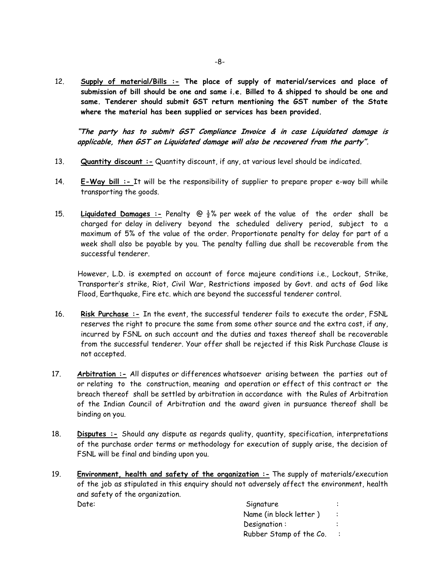12. Supply of material/Bills :- The place of supply of material/services and place of submission of bill should be one and same i.e. Billed to & shipped to should be one and same. Tenderer should submit GST return mentioning the GST number of the State where the material has been supplied or services has been provided.

"The party has to submit GST Compliance Invoice & in case Liquidated damage is applicable, then GST on Liquidated damage will also be recovered from the party".

- 13. **Quantity discount :-** Quantity discount, if any, at various level should be indicated.
- 14. E-Way bill :- It will be the responsibility of supplier to prepare proper e-way bill while transporting the goods.
- 15. Liquidated Damages :- Penalty  $\bigcirc \frac{1}{2}$ % per week of the value of the order shall be charged for delay in delivery beyond the scheduled delivery period, subject to a maximum of 5% of the value of the order. Proportionate penalty for delay for part of a week shall also be payable by you. The penalty falling due shall be recoverable from the successful tenderer.

However, L.D. is exempted on account of force majeure conditions i.e., Lockout, Strike, Transporter's strike, Riot, Civil War, Restrictions imposed by Govt. and acts of God like Flood, Earthquake, Fire etc. which are beyond the successful tenderer control.

- 16. Risk Purchase :- In the event, the successful tenderer fails to execute the order, FSNL reserves the right to procure the same from some other source and the extra cost, if any, incurred by FSNL on such account and the duties and taxes thereof shall be recoverable from the successful tenderer. Your offer shall be rejected if this Risk Purchase Clause is not accepted.
- 17. Arbitration :- All disputes or differences whatsoever arising between the parties out of or relating to the construction, meaning and operation or effect of this contract or the breach thereof shall be settled by arbitration in accordance with the Rules of Arbitration of the Indian Council of Arbitration and the award given in pursuance thereof shall be binding on you.
- 18. **Disputes :-** Should any dispute as regards quality, quantity, specification, interpretations of the purchase order terms or methodology for execution of supply arise, the decision of FSNL will be final and binding upon you.
- 19. Environment, health and safety of the organization :- The supply of materials/execution of the job as stipulated in this enquiry should not adversely affect the environment, health and safety of the organization. Date: Signature :

| Date: | Signature               |                      |
|-------|-------------------------|----------------------|
|       | Name (in block letter)  |                      |
|       | Designation:            |                      |
|       | Rubber Stamp of the Co. | $\ddot{\phantom{1}}$ |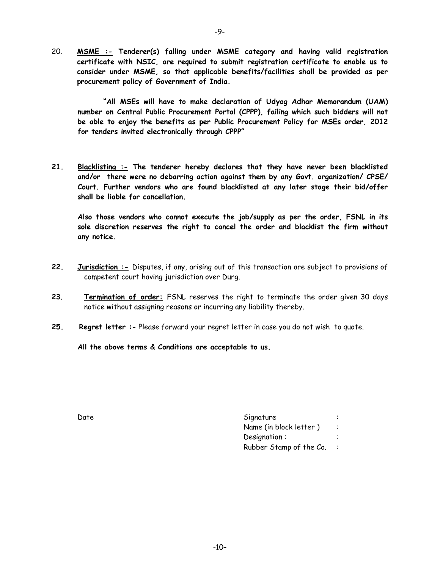20. MSME :- Tenderer(s) falling under MSME category and having valid registration certificate with NSIC, are required to submit registration certificate to enable us to consider under MSME, so that applicable benefits/facilities shall be provided as per procurement policy of Government of India.

 "All MSEs will have to make declaration of Udyog Adhar Memorandum (UAM) number on Central Public Procurement Portal (CPPP), failing which such bidders will not be able to enjoy the benefits as per Public Procurement Policy for MSEs order, 2012 for tenders invited electronically through CPPP"

21. Blacklisting :- The tenderer hereby declares that they have never been blacklisted and/or there were no debarring action against them by any Govt. organization/ CPSE/ Court. Further vendors who are found blacklisted at any later stage their bid/offer shall be liable for cancellation.

Also those vendors who cannot execute the job/supply as per the order, FSNL in its sole discretion reserves the right to cancel the order and blacklist the firm without any notice.

- 22. Jurisdiction :- Disputes, if any, arising out of this transaction are subject to provisions of competent court having jurisdiction over Durg.
- 23. Termination of order: FSNL reserves the right to terminate the order given 30 days notice without assigning reasons or incurring any liability thereby.
- 25. Regret letter :- Please forward your regret letter in case you do not wish to quote.

All the above terms & Conditions are acceptable to us.

Date in the Signature in Signature in the Signature in the Signature in the Signature in the Signature in the S Name (in block letter) : Designation : Rubber Stamp of the Co. :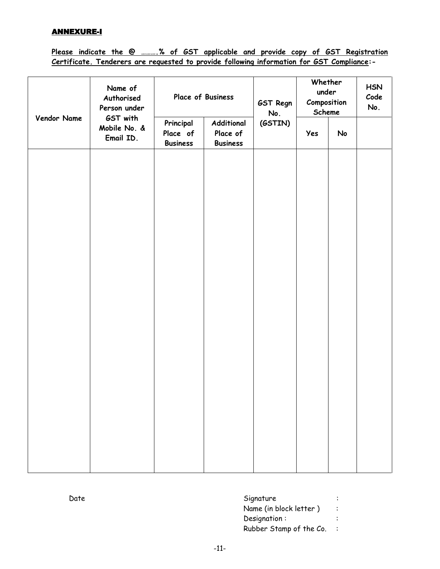## ANNEXURE-I

Please indicate the @ ..........% of GST applicable and provide copy of GST Registration Certificate. Tenderers are requested to provide following information for GST Compliance:-

|             | Name of<br>Authorised<br>Person under |                                          | Place of Business                         | GST Regn<br>No. | Whether<br>under<br>Composition<br>Scheme |    | <b>HSN</b><br>Code<br>No. |
|-------------|---------------------------------------|------------------------------------------|-------------------------------------------|-----------------|-------------------------------------------|----|---------------------------|
| Vendor Name | GST with<br>Mobile No. &<br>Email ID. | Principal<br>Place of<br><b>Business</b> | Additional<br>Place of<br><b>Business</b> | (GSTIN)         | Yes                                       | No |                           |
|             |                                       |                                          |                                           |                 |                                           |    |                           |
|             |                                       |                                          |                                           |                 |                                           |    |                           |
|             |                                       |                                          |                                           |                 |                                           |    |                           |
|             |                                       |                                          |                                           |                 |                                           |    |                           |
|             |                                       |                                          |                                           |                 |                                           |    |                           |
|             |                                       |                                          |                                           |                 |                                           |    |                           |
|             |                                       |                                          |                                           |                 |                                           |    |                           |
|             |                                       |                                          |                                           |                 |                                           |    |                           |
|             |                                       |                                          |                                           |                 |                                           |    |                           |
|             |                                       |                                          |                                           |                 |                                           |    |                           |

| Date | Signature                            |  |
|------|--------------------------------------|--|
|      | Name (in block letter)               |  |
|      | Designation:                         |  |
|      | Rubber Stamp of the Co.<br>$\sim$ 1. |  |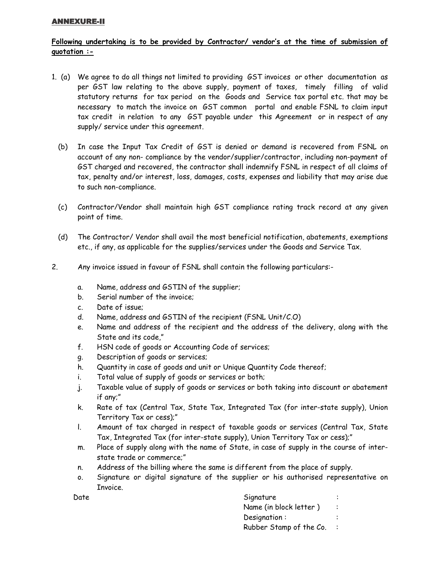#### **ANNEXURE-II**

### Following undertaking is to be provided by Contractor/ vendor's at the time of submission of quotation :-

- 1. (a) We agree to do all things not limited to providing GST invoices or other documentation as per GST law relating to the above supply, payment of taxes, timely filling of valid statutory returns for tax period on the Goods and Service tax portal etc. that may be necessary to match the invoice on GST common portal and enable FSNL to claim input tax credit in relation to any GST payable under this Agreement or in respect of any supply/ service under this agreement.
	- (b) In case the Input Tax Credit of GST is denied or demand is recovered from FSNL on account of any non- compliance by the vendor/supplier/contractor, including non-payment of GST charged and recovered, the contractor shall indemnify FSNL in respect of all claims of tax, penalty and/or interest, loss, damages, costs, expenses and liability that may arise due to such non-compliance.
	- (c) Contractor/Vendor shall maintain high GST compliance rating track record at any given point of time.
	- (d) The Contractor/ Vendor shall avail the most beneficial notification, abatements, exemptions etc., if any, as applicable for the supplies/services under the Goods and Service Tax.
- 2. Any invoice issued in favour of FSNL shall contain the following particulars:
	- a. Name, address and GSTIN of the supplier;
	- b. Serial number of the invoice;
	- c. Date of issue;
	- d. Name, address and GSTIN of the recipient (FSNL Unit/C.O)
	- e. Name and address of the recipient and the address of the delivery, along with the State and its code,"
	- f. HSN code of goods or Accounting Code of services;
	- g. Description of goods or services;
	- h. Quantity in case of goods and unit or Unique Quantity Code thereof;
	- i. Total value of supply of goods or services or both;
	- j. Taxable value of supply of goods or services or both taking into discount or abatement if any;"
	- k. Rate of tax (Central Tax, State Tax, Integrated Tax (for inter-state supply), Union Territory Tax or cess);"
	- l. Amount of tax charged in respect of taxable goods or services (Central Tax, State Tax, Integrated Tax (for inter-state supply), Union Territory Tax or cess);"
	- m. Place of supply along with the name of State, in case of supply in the course of interstate trade or commerce;"
	- n. Address of the billing where the same is different from the place of supply.
	- o. Signature or digital signature of the supplier or his authorised representative on Invoice.

| Date | Signature                            |                |
|------|--------------------------------------|----------------|
|      | Name (in block letter)               | $\ddot{\cdot}$ |
|      | Designation:                         |                |
|      | Rubber Stamp of the Co.<br>$\sim$ 1. |                |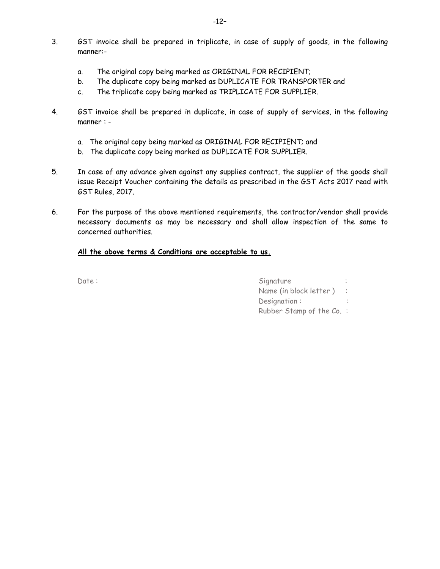- 3. GST invoice shall be prepared in triplicate, in case of supply of goods, in the following manner:
	- a. The original copy being marked as ORIGINAL FOR RECIPIENT;
	- b. The duplicate copy being marked as DUPLICATE FOR TRANSPORTER and
	- c. The triplicate copy being marked as TRIPLICATE FOR SUPPLIER.
- 4. GST invoice shall be prepared in duplicate, in case of supply of services, in the following manner :
	- a. The original copy being marked as ORIGINAL FOR RECIPIENT; and
	- b. The duplicate copy being marked as DUPLICATE FOR SUPPLIER.
- 5. In case of any advance given against any supplies contract, the supplier of the goods shall issue Receipt Voucher containing the details as prescribed in the GST Acts 2017 read with GST Rules, 2017.
- 6. For the purpose of the above mentioned requirements, the contractor/vendor shall provide necessary documents as may be necessary and shall allow inspection of the same to concerned authorities.

#### All the above terms & Conditions are acceptable to us.

| Date: | Signature                           |
|-------|-------------------------------------|
|       | Name (in block letter) $\therefore$ |
|       | Designation:                        |
|       | Rubber Stamp of the $Co.$ :         |